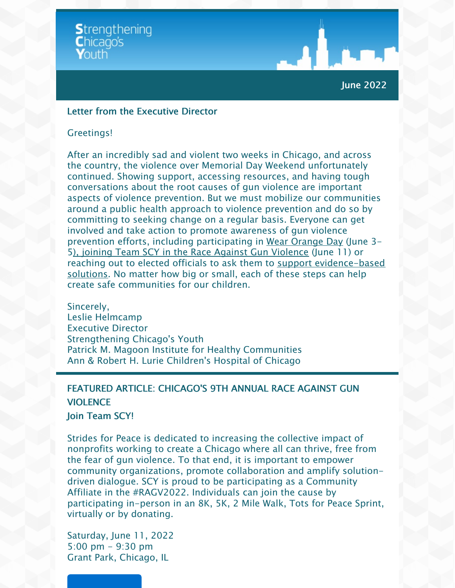

### June 2022

#### Letter from the Executive Director

#### Greetings!

After an incredibly sad and violent two weeks in Chicago, and across the country, the violence over Memorial Day Weekend unfortunately continued. Showing support, accessing resources, and having tough conversations about the root causes of gun violence are important aspects of violence prevention. But we must mobilize our communities around a public health approach to violence prevention and do so by committing to seeking change on a regular basis. Everyone can get involved and take action to promote awareness of gun violence prevention efforts, including participating in Wear [Orange](https://wearorange.org/?) Day (June 3- 5), joining Team SCY in the Race Against Gun [Violence](https://stridesforpeace.enmotive.com/events_teams/fundraising/1e364140-f65f-4e4e-b29b-314cf82f8caf) (June 11) or reaching out to elected officials to ask them to support [evidence-based](https://myemail.constantcontact.com/SCY-STATEMENT-AND-ACTION-ALERT.html?soid=1134344810496&aid=ncY0_I8BXoI) solutions. No matter how big or small, each of these steps can help create safe communities for our children.

Sincerel[y,](http://your.website.address.here?id=preview) Leslie Helmcamp Executive Director Strengthening Chicago's Youth Patrick M. Magoon Institute for Healthy Communities Ann & Robert H. Lurie Children's Hospital of Chicago

# FEATURED ARTICLE: CHICAGO'S 9TH ANNUAL RACE AGAINST GUN VIOLENCE

#### Join Team SCY!

Strides for Peace is dedicated to increasing the collective impact of nonprofits working to create a Chicago where all can thrive, free from the fear of gun violence. To that end, it is important to empower community organizations, promote collaboration and amplify solutiondriven dialogue. SCY is proud to be participating as a Community Affiliate in the #RAGV2022. Individuals can join the cause by participating in-person in an 8K, 5K, 2 Mile Walk, Tots for Peace Sprint, virtually or by donating.

Saturday, June 11, 2022 5:00 pm - 9:30 pm Grant Park, Chicago, IL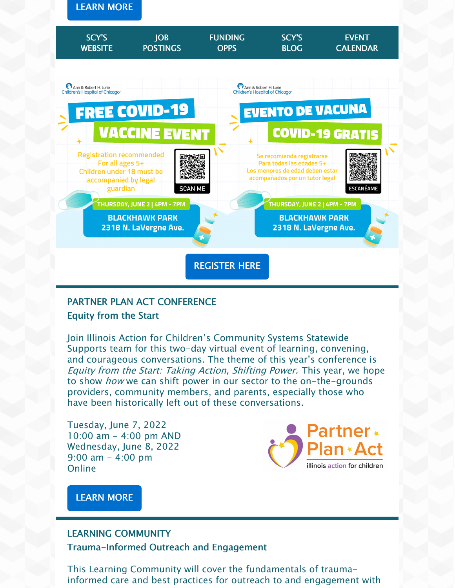



# PARTNER PLAN ACT CONFERENCE Equity from the Start

Join Illinois Action for [Children](https://www.actforchildren.org/home)'s Community Systems Statewide Supports team for this two-day virtual event of learning, convening, and courageous conversations. The theme of this year's conference is Equity from the Start: Taking Action, Shifting Power. This year, we hope to show *how* we can shift power in our sector to the on-the-grounds providers, community members, and parents, especially those who have been historically left out of these conversations.

Tuesday, June 7, 2022 10:00 am - 4:00 pm AND Wednesday, June 8, 2022  $9:00$  am  $-$  4:00 pm Online



[LEARN](https://events.bizzabo.com/2022EquityfromtheStart) MORE

## LEARNING COMMUNITY

#### Trauma-Informed Outreach and Engagement

This Learning Community will cover the fundamentals of traumainformed care and best practices for outreach to and engagement with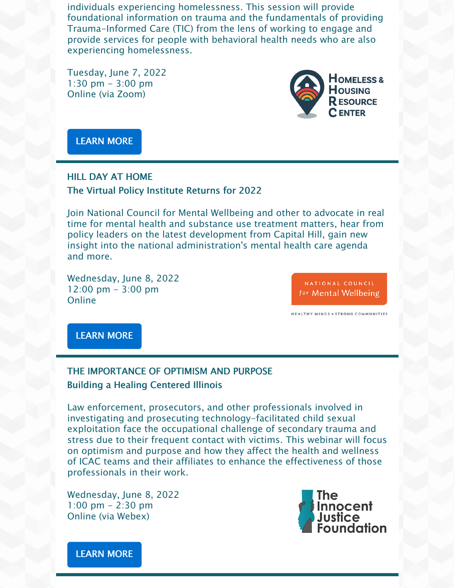individuals experiencing homelessness. This session will provide foundational information on trauma and the fundamentals of providing Trauma-Informed Care (TIC) from the lens of working to engage and provide services for people with behavioral health needs who are also experiencing homelessness.

Tuesday, June 7, 2022 1:30 pm  $-$  3:00 pm Online (via Zoom)



[LEARN](https://prainc.zoom.us/webinar/register/WN_IonloTBAS2-I2Hehev_S0g?mkt_tok=NzczLU1KRi0zNzkAAAGEuX_DSHruVKs78qrGtU9jbnKuE-nkMirpv7TD3JkNlNI5geM5B8aVYd3MJZPPAKYI8DbxN6ZZtwvA_1ZH25CiyPDofDZtih9sR97QzSrAWw) MORE

# HILL DAY AT HOME The Virtual Policy Institute Returns for 2022

Join National Council for Mental Wellbeing and other to advocate in real time for mental health and substance use treatment matters, hear from policy leaders on the latest development from Capital Hill, gain new insight into the national administration's mental health care agenda and more.

Wednesday, June 8, 2022 12:00 pm - 3:00 pm **Online** 

NATIONAL COUNCIL for Mental Wellbeing

HEALTHY MINDS = STRONG COMMUNITIES

#### [LEARN](https://www.eventscribe.net/2022/HillDayatHome/agenda.asp?pfp=BrowsebyDay#) MORE

# THE IMPORTANCE OF OPTIMISM AND PURPOSE Building a Healing Centered Illinois

Law enforcement, prosecutors, and other professionals involved in investigating and prosecuting technology-facilitated child sexual exploitation face the occupational challenge of secondary trauma and stress due to their frequent contact with victims. This webinar will focus on optimism and purpose and how they affect the health and wellness of ICAC teams and their affiliates to enhance the effectiveness of those professionals in their work.

Wednesday, June 8, 2022 1:00 pm - 2:30 pm Online (via Webex)



[LEARN](https://ojp.webex.com/mw3300/mywebex/default.do?nomenu=true&siteurl=ojp&service=6&rnd=0.6349948398190457&main_url=https%3A%2F%2Fojp.webex.com%2Fec3300%2Feventcenter%2Fevent%2FeventAction.do%3FtheAction%3Ddetail%26%26%26EMK%3D4832534b0000000546f8300552d8ec2e9d36198793ab76fa43b1bebaa789e1b572d7391469415de3%26siteurl%3Dojp%26confViewID%3D222138361096222957%26encryptTicket%3DSDJTSwAAAAUrhz5lEJ_DyhZOIF-kHgG_b1m3J-S0Bc_-1rcwaMoSjw2%26) MORE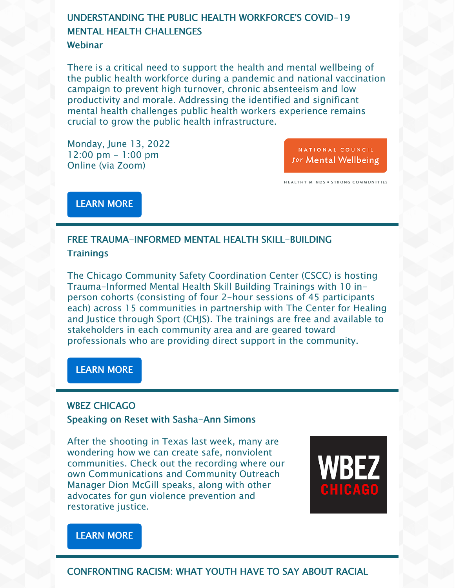# UNDERSTANDING THE PUBLIC HEALTH WORKFORCE'S COVID-19 **MENTAL HEALTH CHALLENGES**

## **Webinar**

There is a critical need to support the health and mental wellbeing of the public health workforce during a pandemic and national vaccination campaign to prevent high turnover, chronic absenteeism and low productivity and morale. Addressing the identified and significant mental health challenges public health workers experience remains crucial to grow the public health infrastructure.

Monday, June 13, 2022 12:00 pm - 1:00 pm Online (via Zoom)

NATIONAL COUNCIL for Mental Wellbeing

HEALTHY MINDS . STRONG COMMUNITIES

[LEARN](https://thenationalcouncil-org.zoom.us/webinar/register/WN_saEqwZx5Q8i2kmeXAzaZsA?mkt_tok=NzczLU1KRi0zNzkAAAGEmrkSGBDbwEI4VAE9JJWfiWwZM9dEcMOSw5DbBZctI8lQ53uz5EwYwqz4YeDQxp37veIFZ4_FUhCVk5OZ4Qay5tsIrNZ8vMAZJPcXJhfTSw) MORE

# FREE TRAUMA-INFORMED MENTAL HEALTH SKILL-BUILDING **Trainings**

The Chicago Community Safety Coordination Center (CSCC) is hosting Trauma-Informed Mental Health Skill Building Trainings with 10 inperson cohorts (consisting of four 2-hour sessions of 45 participants each) across 15 communities in partnership with The Center for Healing and Justice through Sport (CHJS). The trainings are free and available to stakeholders in each community area and are geared toward professionals who are providing direct support in the community.

#### [LEARN](https://chjs.org/news/cscctrainings/) MORE

#### WBEZ CHICAGO

#### Speaking on Reset with Sasha-Ann Simons

After the shooting in Texas last week, many are wondering how we can create safe, nonviolent communities. Check out the recording where our own Communications and Community Outreach Manager Dion McGill speaks, along with other advocates for gun violence prevention and restorative justice.



## [LEARN](https://www.wbez.org/stories/chicago-anti-violence-activists-weigh-in-on-how-to-build-safer-communities/1731892f-0cc6-421a-9cde-2794b56947f5) MORE

## CONFRONTING RACISM: WHAT YOUTH HAVE TO SAY ABOUT RACIAL